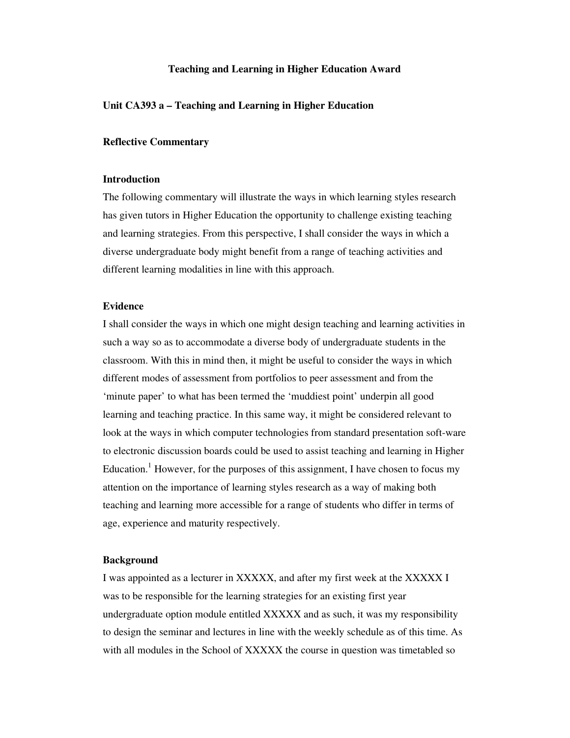## **Teaching and Learning in Higher Education Award**

## **Unit CA393 a – Teaching and Learning in Higher Education**

## **Reflective Commentary**

## **Introduction**

The following commentary will illustrate the ways in which learning styles research has given tutors in Higher Education the opportunity to challenge existing teaching and learning strategies. From this perspective, I shall consider the ways in which a diverse undergraduate body might benefit from a range of teaching activities and different learning modalities in line with this approach.

## **Evidence**

I shall consider the ways in which one might design teaching and learning activities in such a way so as to accommodate a diverse body of undergraduate students in the classroom. With this in mind then, it might be useful to consider the ways in which different modes of assessment from portfolios to peer assessment and from the 'minute paper' to what has been termed the 'muddiest point' underpin all good learning and teaching practice. In this same way, it might be considered relevant to look at the ways in which computer technologies from standard presentation soft-ware to electronic discussion boards could be used to assist teaching and learning in Higher Education.<sup>1</sup> However, for the purposes of this assignment, I have chosen to focus my attention on the importance of learning styles research as a way of making both teaching and learning more accessible for a range of students who differ in terms of age, experience and maturity respectively.

#### **Background**

I was appointed as a lecturer in XXXXX, and after my first week at the XXXXX I was to be responsible for the learning strategies for an existing first year undergraduate option module entitled XXXXX and as such, it was my responsibility to design the seminar and lectures in line with the weekly schedule as of this time. As with all modules in the School of XXXXX the course in question was timetabled so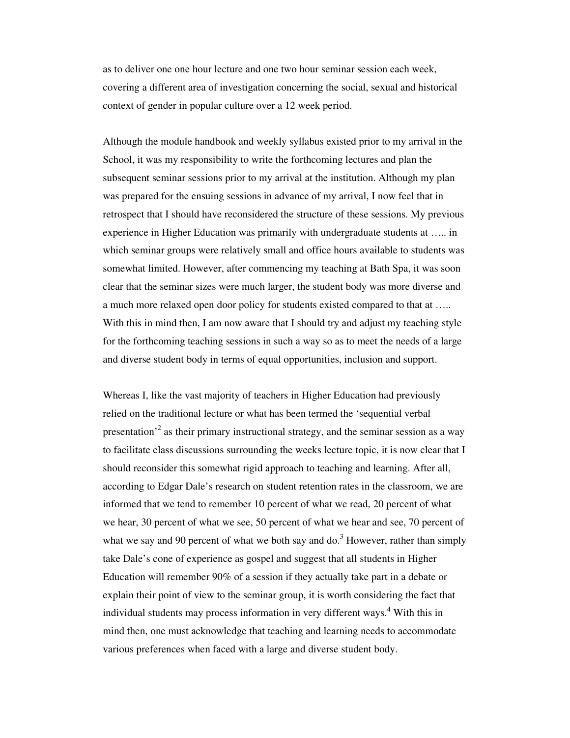as to deliver one one hour lecture and one two hour seminar session each week, covering a different area of investigation concerning the social, sexual and historical context of gender in popular culture over a 12 week period.

Although the module handbook and weekly syllabus existed prior to my arrival in the School, it was my responsibility to write the forthcoming lectures and plan the subsequent seminar sessions prior to my arrival at the institution. Although my plan was prepared for the ensuing sessions in advance of my arrival, I now feel that in retrospect that I should have reconsidered the structure of these sessions. My previous experience in Higher Education was primarily with undergraduate students at ….. in which seminar groups were relatively small and office hours available to students was somewhat limited. However, after commencing my teaching at Bath Spa, it was soon clear that the seminar sizes were much larger, the student body was more diverse and a much more relaxed open door policy for students existed compared to that at ….. With this in mind then, I am now aware that I should try and adjust my teaching style for the forthcoming teaching sessions in such a way so as to meet the needs of a large and diverse student body in terms of equal opportunities, inclusion and support.

Whereas I, like the vast majority of teachers in Higher Education had previously relied on the traditional lecture or what has been termed the 'sequential verbal presentation<sup>,2</sup> as their primary instructional strategy, and the seminar session as a way to facilitate class discussions surrounding the weeks lecture topic, it is now clear that I should reconsider this somewhat rigid approach to teaching and learning. After all, according to Edgar Dale's research on student retention rates in the classroom, we are informed that we tend to remember 10 percent of what we read, 20 percent of what we hear, 30 percent of what we see, 50 percent of what we hear and see, 70 percent of what we say and 90 percent of what we both say and  $\text{do.}^3$  However, rather than simply take Dale's cone of experience as gospel and suggest that all students in Higher Education will remember 90% of a session if they actually take part in a debate or explain their point of view to the seminar group, it is worth considering the fact that individual students may process information in very different ways. <sup>4</sup> With this in mind then, one must acknowledge that teaching and learning needs to accommodate various preferences when faced with a large and diverse student body.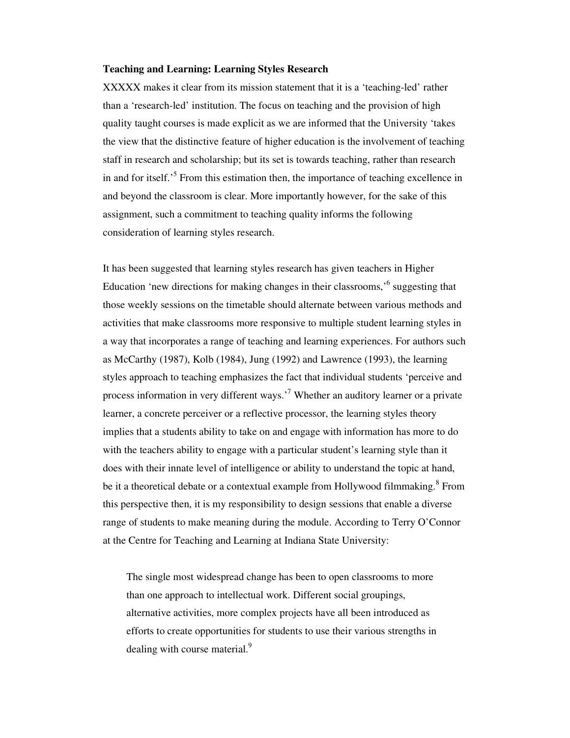## **Teaching and Learning: Learning Styles Research**

XXXXX makes it clear from its mission statement that it is a 'teaching-led' rather than a 'research-led' institution. The focus on teaching and the provision of high quality taught courses is made explicit as we are informed that the University 'takes the view that the distinctive feature of higher education is the involvement of teaching staff in research and scholarship; but its set is towards teaching, rather than research in and for itself.<sup>5</sup> From this estimation then, the importance of teaching excellence in and beyond the classroom is clear. More importantly however, for the sake of this assignment, such a commitment to teaching quality informs the following consideration of learning styles research.

It has been suggested that learning styles research has given teachers in Higher Education 'new directions for making changes in their classrooms,<sup>,6</sup> suggesting that those weekly sessions on the timetable should alternate between various methods and activities that make classrooms more responsive to multiple student learning styles in a way that incorporates a range of teaching and learning experiences. For authors such as McCarthy (1987), Kolb (1984), Jung (1992) and Lawrence (1993), the learning styles approach to teaching emphasizes the fact that individual students 'perceive and process information in very different ways.<sup>'7</sup> Whether an auditory learner or a private learner, a concrete perceiver or a reflective processor, the learning styles theory implies that a students ability to take on and engage with information has more to do with the teachers ability to engage with a particular student's learning style than it does with their innate level of intelligence or ability to understand the topic at hand, be it a theoretical debate or a contextual example from Hollywood filmmaking.<sup>8</sup> From this perspective then, it is my responsibility to design sessions that enable a diverse range of students to make meaning during the module. According to Terry O'Connor at the Centre for Teaching and Learning at Indiana State University:

The single most widespread change has been to open classrooms to more than one approach to intellectual work. Different social groupings, alternative activities, more complex projects have all been introduced as efforts to create opportunities for students to use their various strengths in dealing with course material.<sup>9</sup>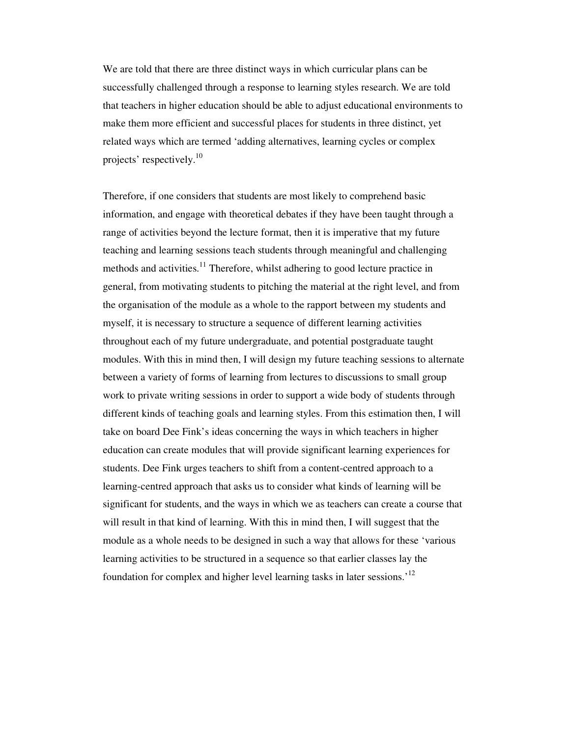We are told that there are three distinct ways in which curricular plans can be successfully challenged through a response to learning styles research. We are told that teachers in higher education should be able to adjust educational environments to make them more efficient and successful places for students in three distinct, yet related ways which are termed 'adding alternatives, learning cycles or complex projects' respectively.<sup>10</sup>

Therefore, if one considers that students are most likely to comprehend basic information, and engage with theoretical debates if they have been taught through a range of activities beyond the lecture format, then it is imperative that my future teaching and learning sessions teach students through meaningful and challenging methods and activities.<sup>11</sup> Therefore, whilst adhering to good lecture practice in general, from motivating students to pitching the material at the right level, and from the organisation of the module as a whole to the rapport between my students and myself, it is necessary to structure a sequence of different learning activities throughout each of my future undergraduate, and potential postgraduate taught modules. With this in mind then, I will design my future teaching sessions to alternate between a variety of forms of learning from lectures to discussions to small group work to private writing sessions in order to support a wide body of students through different kinds of teaching goals and learning styles. From this estimation then, I will take on board Dee Fink's ideas concerning the ways in which teachers in higher education can create modules that will provide significant learning experiences for students. Dee Fink urges teachers to shift from a content-centred approach to a learning-centred approach that asks us to consider what kinds of learning will be significant for students, and the ways in which we as teachers can create a course that will result in that kind of learning. With this in mind then, I will suggest that the module as a whole needs to be designed in such a way that allows for these 'various learning activities to be structured in a sequence so that earlier classes lay the foundation for complex and higher level learning tasks in later sessions.'<sup>12</sup>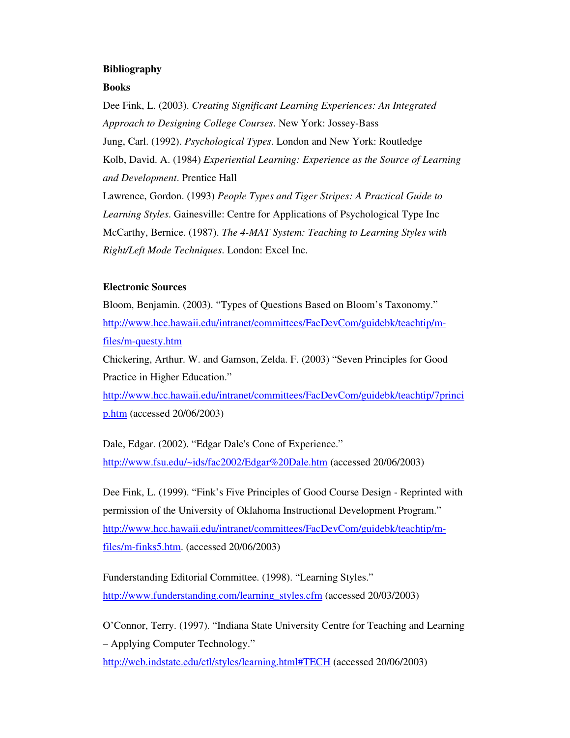# **Bibliography**

## **Books**

Dee Fink, L. (2003). *Creating Significant Learning Experiences: An Integrated Approach to Designing College Courses*. New York: Jossey-Bass Jung, Carl. (1992). *Psychological Types*. London and New York: Routledge Kolb, David. A. (1984) *Experiential Learning: Experience as the Source of Learning and Development*. Prentice Hall Lawrence, Gordon. (1993) *People Types and Tiger Stripes: A Practical Guide to Learning Styles*. Gainesville: Centre for Applications of Psychological Type Inc McCarthy, Bernice. (1987). *The 4-MAT System: Teaching to Learning Styles with Right/Left Mode Techniques*. London: Excel Inc.

## **Electronic Sources**

Bloom, Benjamin. (2003). "Types of Questions Based on Bloom's Taxonomy." http://www.hcc.hawaii.edu/intranet/committees/FacDevCom/guidebk/teachtip/mfiles/m-questy.htm

Chickering, Arthur. W. and Gamson, Zelda. F. (2003) "Seven Principles for Good Practice in Higher Education."

http://www.hcc.hawaii.edu/intranet/committees/FacDevCom/guidebk/teachtip/7princi p.htm (accessed 20/06/2003)

Dale, Edgar. (2002). "Edgar Dale's Cone of Experience." http://www.fsu.edu/~ids/fac2002/Edgar%20Dale.htm (accessed 20/06/2003)

Dee Fink, L. (1999). "Fink's Five Principles of Good Course Design - Reprinted with permission of the University of Oklahoma Instructional Development Program." http://www.hcc.hawaii.edu/intranet/committees/FacDevCom/guidebk/teachtip/mfiles/m-finks5.htm. (accessed 20/06/2003)

Funderstanding Editorial Committee. (1998). "Learning Styles." http://www.funderstanding.com/learning\_styles.cfm (accessed 20/03/2003)

O'Connor, Terry. (1997). "Indiana State University Centre for Teaching and Learning – Applying Computer Technology."

http://web.indstate.edu/ctl/styles/learning.html#TECH (accessed 20/06/2003)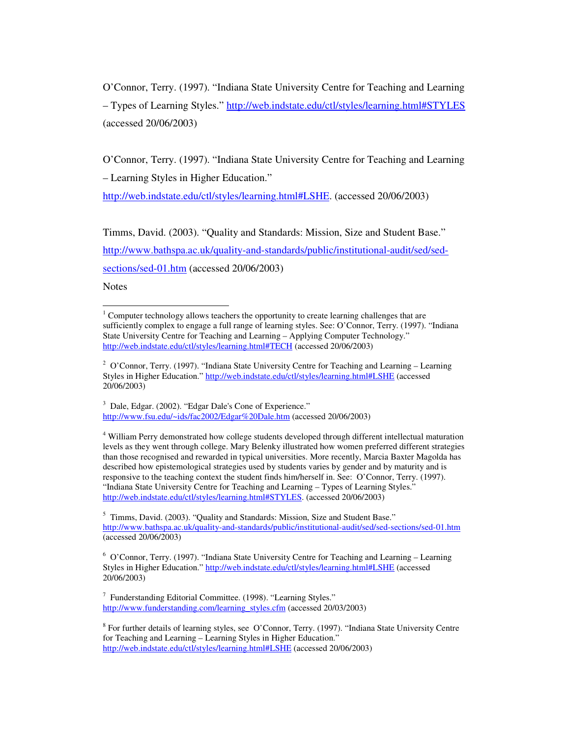O'Connor, Terry. (1997). "Indiana State University Centre for Teaching and Learning – Types of Learning Styles." http://web.indstate.edu/ctl/styles/learning.html#STYLES (accessed 20/06/2003)

O'Connor, Terry. (1997). "Indiana State University Centre for Teaching and Learning – Learning Styles in Higher Education."

http://web.indstate.edu/ctl/styles/learning.html#LSHE. (accessed 20/06/2003)

Timms, David. (2003). "Quality and Standards: Mission, Size and Student Base."

http://www.bathspa.ac.uk/quality-and-standards/public/institutional-audit/sed/sed-

sections/sed-01.htm (accessed 20/06/2003)

**Notes** 

<sup>3</sup> Dale, Edgar. (2002). "Edgar Dale's Cone of Experience." http://www.fsu.edu/~ids/fac2002/Edgar%20Dale.htm (accessed 20/06/2003)

<sup>4</sup> William Perry demonstrated how college students developed through different intellectual maturation levels as they went through college. Mary Belenky illustrated how women preferred different strategies than those recognised and rewarded in typical universities. More recently, Marcia Baxter Magolda has described how epistemological strategies used by students varies by gender and by maturity and is responsive to the teaching context the student finds him/herself in. See: O'Connor, Terry. (1997). "Indiana State University Centre for Teaching and Learning – Types of Learning Styles." http://web.indstate.edu/ctl/styles/learning.html#STYLES. (accessed 20/06/2003)

 $1$  Computer technology allows teachers the opportunity to create learning challenges that are sufficiently complex to engage a full range of learning styles. See: O'Connor, Terry. (1997). "Indiana State University Centre for Teaching and Learning – Applying Computer Technology." http://web.indstate.edu/ctl/styles/learning.html#TECH (accessed 20/06/2003)

<sup>&</sup>lt;sup>2</sup> O'Connor, Terry. (1997). "Indiana State University Centre for Teaching and Learning – Learning Styles in Higher Education." http://web.indstate.edu/ctl/styles/learning.html#LSHE (accessed 20/06/2003)

<sup>&</sup>lt;sup>5</sup> Timms, David. (2003). "Quality and Standards: Mission, Size and Student Base." http://www.bathspa.ac.uk/quality-and-standards/public/institutional-audit/sed/sed-sections/sed-01.htm (accessed 20/06/2003)

 $6$  O'Connor, Terry. (1997). "Indiana State University Centre for Teaching and Learning – Learning Styles in Higher Education." http://web.indstate.edu/ctl/styles/learning.html#LSHE (accessed 20/06/2003)

 $7$  Funderstanding Editorial Committee. (1998). "Learning Styles." http://www.funderstanding.com/learning\_styles.cfm (accessed 20/03/2003)

<sup>&</sup>lt;sup>8</sup> For further details of learning styles, see O'Connor, Terry. (1997). "Indiana State University Centre for Teaching and Learning – Learning Styles in Higher Education." http://web.indstate.edu/ctl/styles/learning.html#LSHE (accessed 20/06/2003)